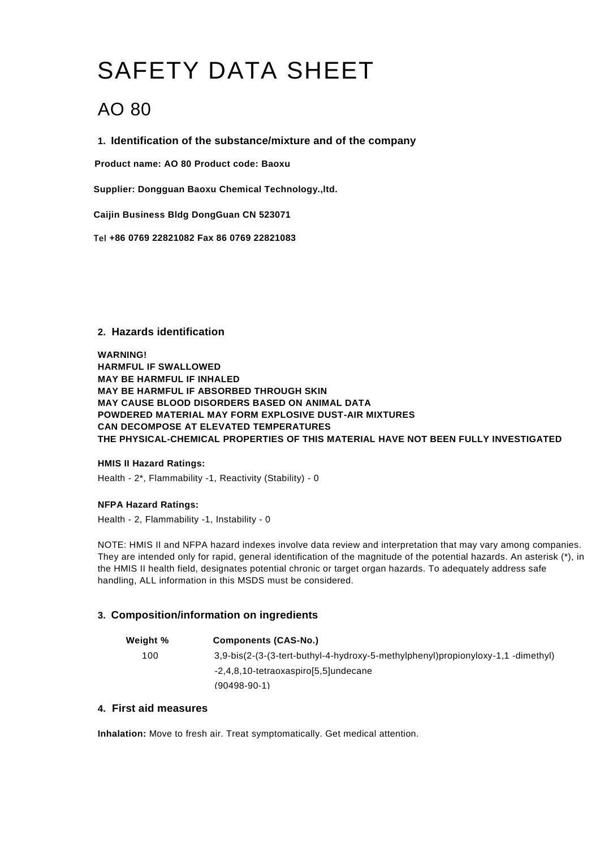# SAFETY DATA SHEET

# AO 80

**1. Identification of the substance/mixture and of the company**

**Product name: AO 80 Product code: Baoxu**

**Supplier: Dongguan Baoxu Chemical Technology.,ltd.**

**Caijin Business Bldg DongGuan CN 523071**

**Tel +86 0769 22821082 Fax 86 0769 22821083**

# **2. Hazards identification**

**WARNING! HARMFUL IF SWALLOWED MAY BE HARMFUL IF INHALED MAY BE HARMFUL IF ABSORBED THROUGH SKIN MAY CAUSE BLOOD DISORDERS BASED ON ANIMAL DATA POWDERED MATERIAL MAY FORM EXPLOSIVE DUST-AIR MIXTURES CAN DECOMPOSE AT ELEVATED TEMPERATURES THE PHYSICAL-CHEMICAL PROPERTIES OF THIS MATERIAL HAVE NOT BEEN FULLY INVESTIGATED**

#### **HMIS II Hazard Ratings:**

Health - 2\*, Flammability -1, Reactivity (Stability) - 0

# **NFPA Hazard Ratings:**

Health - 2, Flammability -1, Instability - 0

NOTE: HMIS II and NFPA hazard indexes involve data review and interpretation that may vary among companies. They are intended only for rapid, general identification of the magnitude of the potential hazards. An asterisk (\*), in the HMIS II health field, designates potential chronic or target organ hazards. To adequately address safe handling, ALL information in this MSDS must be considered.

# **3. Composition/information on ingredients**

| Weight % | <b>Components (CAS-No.)</b>                                                      |
|----------|----------------------------------------------------------------------------------|
| 100      | 3,9-bis(2-(3-(3-tert-buthyl-4-hydroxy-5-methylphenyl)propionyloxy-1,1 -dimethyl) |
|          | -2,4,8,10-tetraoxaspiro[5,5]undecane                                             |
|          | $(90498-90-1)$                                                                   |

# **4. First aid measures**

**Inhalation:** Move to fresh air. Treat symptomatically. Get medical attention.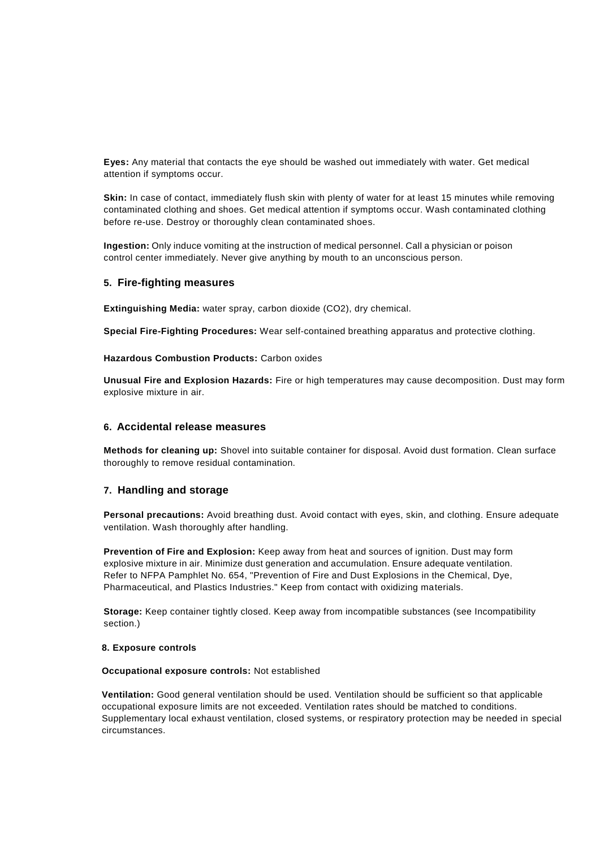**Eyes:** Any material that contacts the eye should be washed out immediately with water. Get medical attention if symptoms occur.

**Skin:** In case of contact, immediately flush skin with plenty of water for at least 15 minutes while removing contaminated clothing and shoes. Get medical attention if symptoms occur. Wash contaminated clothing before re-use. Destroy or thoroughly clean contaminated shoes.

**Ingestion:** Only induce vomiting at the instruction of medical personnel. Call a physician or poison control center immediately. Never give anything by mouth to an unconscious person.

#### **5. Fire-fighting measures**

**Extinguishing Media:** water spray, carbon dioxide (CO2), dry chemical.

**Special Fire-Fighting Procedures:** Wear self-contained breathing apparatus and protective clothing.

**Hazardous Combustion Products:** Carbon oxides

**Unusual Fire and Explosion Hazards:** Fire or high temperatures may cause decomposition. Dust may form explosive mixture in air.

#### **6. Accidental release measures**

**Methods for cleaning up:** Shovel into suitable container for disposal. Avoid dust formation. Clean surface thoroughly to remove residual contamination.

#### **7. Handling and storage**

**Personal precautions:** Avoid breathing dust. Avoid contact with eyes, skin, and clothing. Ensure adequate ventilation. Wash thoroughly after handling.

**Prevention of Fire and Explosion:** Keep away from heat and sources of ignition. Dust may form explosive mixture in air. Minimize dust generation and accumulation. Ensure adequate ventilation. Refer to NFPA Pamphlet No. 654, "Prevention of Fire and Dust Explosions in the Chemical, Dye, Pharmaceutical, and Plastics Industries." Keep from contact with oxidizing materials.

**Storage:** Keep container tightly closed. Keep away from incompatible substances (see Incompatibility section.)

#### **8. Exposure controls**

#### **Occupational exposure controls:** Not established

**Ventilation:** Good general ventilation should be used. Ventilation should be sufficient so that applicable occupational exposure limits are not exceeded. Ventilation rates should be matched to conditions. Supplementary local exhaust ventilation, closed systems, or respiratory protection may be needed in special circumstances.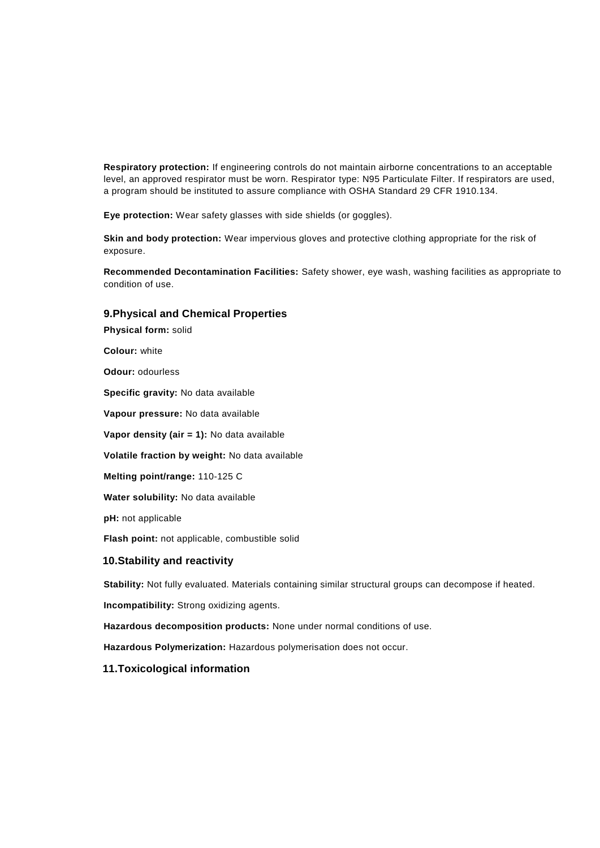**Respiratory protection:** If engineering controls do not maintain airborne concentrations to an acceptable level, an approved respirator must be worn. Respirator type: N95 Particulate Filter. If respirators are used, a program should be instituted to assure compliance with OSHA Standard 29 CFR 1910.134.

**Eye protection:** Wear safety glasses with side shields (or goggles).

**Skin and body protection:** Wear impervious gloves and protective clothing appropriate for the risk of exposure.

**Recommended Decontamination Facilities:** Safety shower, eye wash, washing facilities as appropriate to condition of use.

#### **9.Physical and Chemical Properties**

**Physical form:** solid

**Colour:** white

**Odour:** odourless

**Specific gravity:** No data available

**Vapour pressure:** No data available

**Vapor density (air = 1):** No data available

**Volatile fraction by weight:** No data available

**Melting point/range:** 110-125 C

**Water solubility:** No data available

**pH:** not applicable

**Flash point:** not applicable, combustible solid

#### **10.Stability and reactivity**

**Stability:** Not fully evaluated. Materials containing similar structural groups can decompose if heated.

**Incompatibility:** Strong oxidizing agents.

**Hazardous decomposition products:** None under normal conditions of use.

**Hazardous Polymerization:** Hazardous polymerisation does not occur.

#### **11.Toxicological information**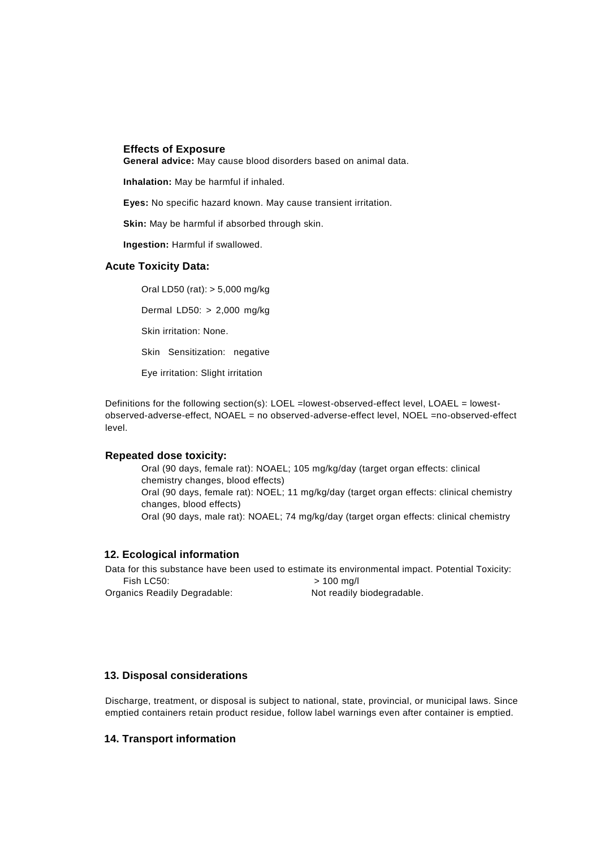#### **Effects of Exposure**

**General advice:** May cause blood disorders based on animal data.

**Inhalation:** May be harmful if inhaled.

**Eyes:** No specific hazard known. May cause transient irritation.

**Skin:** May be harmful if absorbed through skin.

**Ingestion:** Harmful if swallowed.

#### **Acute Toxicity Data:**

Oral LD50 (rat): > 5,000 mg/kg Dermal LD50: > 2,000 mg/kg Skin irritation: None. Skin Sensitization: negative Eye irritation: Slight irritation

Definitions for the following section(s): LOEL =lowest-observed-effect level, LOAEL = lowestobserved-adverse-effect, NOAEL = no observed-adverse-effect level, NOEL =no-observed-effect level.

#### **Repeated dose toxicity:**

Oral (90 days, female rat): NOAEL; 105 mg/kg/day (target organ effects: clinical chemistry changes, blood effects) Oral (90 days, female rat): NOEL; 11 mg/kg/day (target organ effects: clinical chemistry changes, blood effects) Oral (90 days, male rat): NOAEL; 74 mg/kg/day (target organ effects: clinical chemistry

#### **12. Ecological information**

Data for this substance have been used to estimate its environmental impact. Potential Toxicity: Fish LC50:  $> 100$  mg/l

Organics Readily Degradable: Not readily biodegradable.

#### **13. Disposal considerations**

Discharge, treatment, or disposal is subject to national, state, provincial, or municipal laws. Since emptied containers retain product residue, follow label warnings even after container is emptied.

#### **14. Transport information**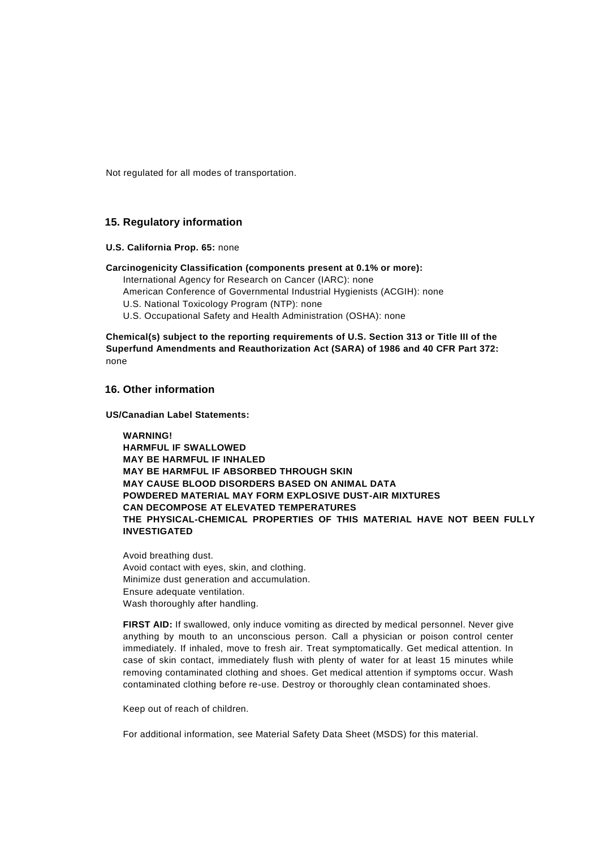Not regulated for all modes of transportation.

#### **15. Regulatory information**

**U.S. California Prop. 65:** none

**Carcinogenicity Classification (components present at 0.1% or more):**

International Agency for Research on Cancer (IARC): none

American Conference of Governmental Industrial Hygienists (ACGIH): none

U.S. National Toxicology Program (NTP): none

U.S. Occupational Safety and Health Administration (OSHA): none

**Chemical(s) subject to the reporting requirements of U.S. Section 313 or Title III of the Superfund Amendments and Reauthorization Act (SARA) of 1986 and 40 CFR Part 372:** none

#### **16. Other information**

**US/Canadian Label Statements:**

**WARNING! HARMFUL IF SWALLOWED MAY BE HARMFUL IF INHALED MAY BE HARMFUL IF ABSORBED THROUGH SKIN MAY CAUSE BLOOD DISORDERS BASED ON ANIMAL DATA POWDERED MATERIAL MAY FORM EXPLOSIVE DUST-AIR MIXTURES CAN DECOMPOSE AT ELEVATED TEMPERATURES THE PHYSICAL-CHEMICAL PROPERTIES OF THIS MATERIAL HAVE NOT BEEN FULLY INVESTIGATED**

Avoid breathing dust. Avoid contact with eyes, skin, and clothing. Minimize dust generation and accumulation. Ensure adequate ventilation. Wash thoroughly after handling.

**FIRST AID:** If swallowed, only induce vomiting as directed by medical personnel. Never give anything by mouth to an unconscious person. Call a physician or poison control center immediately. If inhaled, move to fresh air. Treat symptomatically. Get medical attention. In case of skin contact, immediately flush with plenty of water for at least 15 minutes while removing contaminated clothing and shoes. Get medical attention if symptoms occur. Wash contaminated clothing before re-use. Destroy or thoroughly clean contaminated shoes.

Keep out of reach of children.

For additional information, see Material Safety Data Sheet (MSDS) for this material.